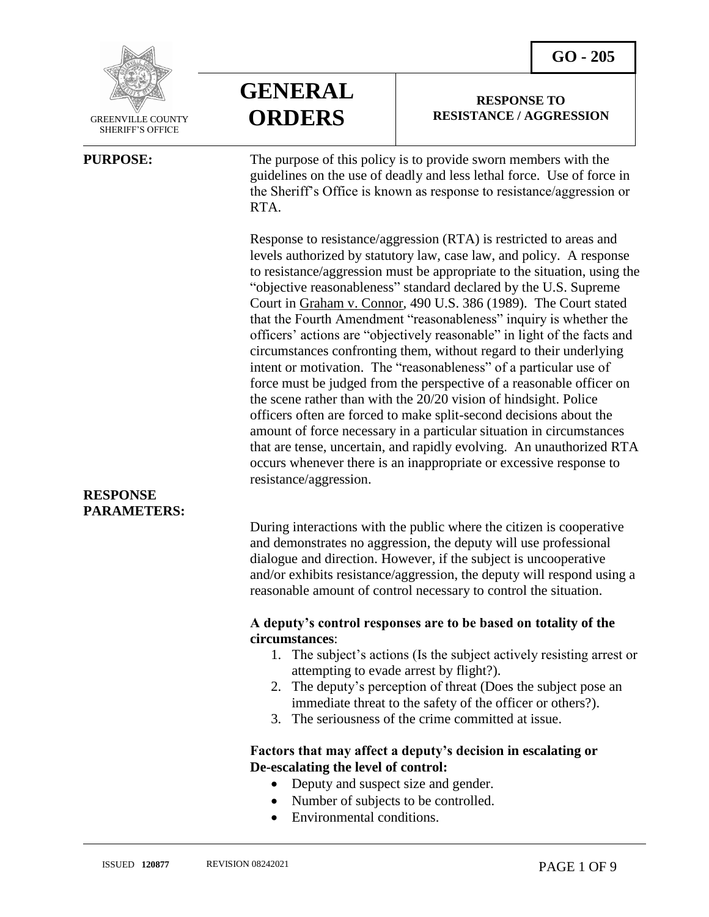**RESPONSE TO RESISTANCE / AGGRESSION**



 GREENVILLE COUNTY SHERIFF'S OFFICE

 $\overline{a}$ 

# **GENERAL ORDERS**

RTA.

**PURPOSE:** The purpose of this policy is to provide sworn members with the guidelines on the use of deadly and less lethal force. Use of force in the Sheriff's Office is known as response to resistance/aggression or

> Response to resistance/aggression (RTA) is restricted to areas and levels authorized by statutory law, case law, and policy. A response to resistance/aggression must be appropriate to the situation, using the "objective reasonableness" standard declared by the U.S. Supreme Court in Graham v. Connor*,* 490 U.S. 386 (1989). The Court stated that the Fourth Amendment "reasonableness" inquiry is whether the officers' actions are "objectively reasonable" in light of the facts and circumstances confronting them, without regard to their underlying intent or motivation. The "reasonableness" of a particular use of force must be judged from the perspective of a reasonable officer on the scene rather than with the 20/20 vision of hindsight. Police officers often are forced to make split-second decisions about the amount of force necessary in a particular situation in circumstances that are tense, uncertain, and rapidly evolving. An unauthorized RTA occurs whenever there is an inappropriate or excessive response to resistance/aggression.

## **RESPONSE PARAMETERS:**

During interactions with the public where the citizen is cooperative and demonstrates no aggression, the deputy will use professional dialogue and direction. However, if the subject is uncooperative and/or exhibits resistance/aggression, the deputy will respond using a reasonable amount of control necessary to control the situation.

## **A deputy's control responses are to be based on totality of the circumstances**:

- 1. The subject's actions (Is the subject actively resisting arrest or attempting to evade arrest by flight?).
- 2. The deputy's perception of threat (Does the subject pose an immediate threat to the safety of the officer or others?).
- 3. The seriousness of the crime committed at issue.

## **Factors that may affect a deputy's decision in escalating or De-escalating the level of control:**

- Deputy and suspect size and gender.
- Number of subjects to be controlled.
- Environmental conditions.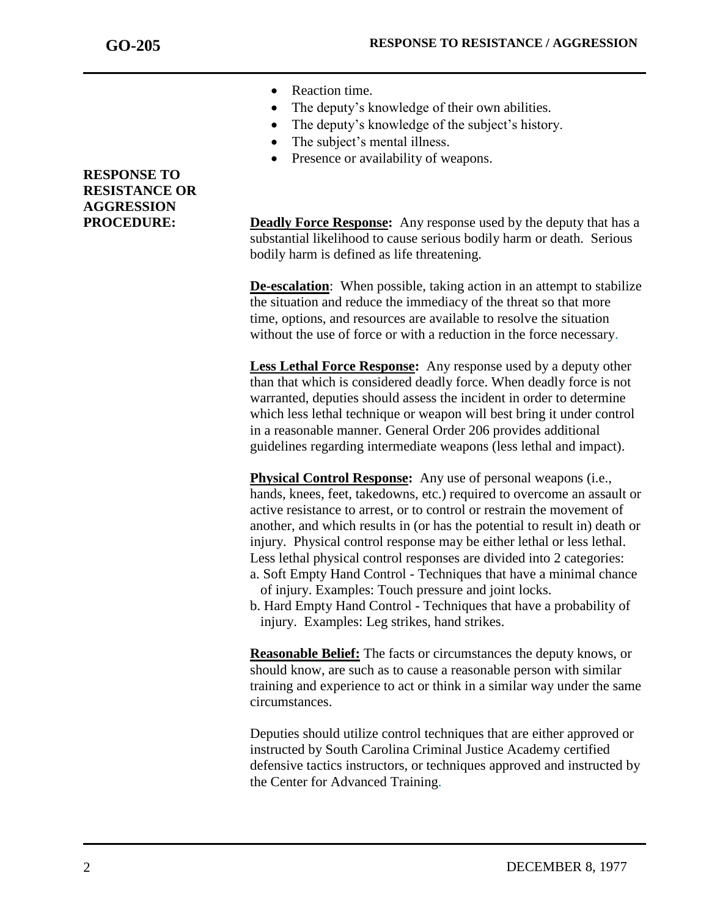- Reaction time.
- The deputy's knowledge of their own abilities.
- The deputy's knowledge of the subject's history.
- The subject's mental illness.
- Presence or availability of weapons.

## **PROCEDURE: Deadly Force Response:** Any response used by the deputy that has a substantial likelihood to cause serious bodily harm or death. Serious bodily harm is defined as life threatening.

**De-escalation**: When possible, taking action in an attempt to stabilize the situation and reduce the immediacy of the threat so that more time, options, and resources are available to resolve the situation without the use of force or with a reduction in the force necessary.

**Less Lethal Force Response:** Any response used by a deputy other than that which is considered deadly force. When deadly force is not warranted, deputies should assess the incident in order to determine which less lethal technique or weapon will best bring it under control in a reasonable manner. General Order 206 provides additional guidelines regarding intermediate weapons (less lethal and impact).

**Physical Control Response:** Any use of personal weapons (i.e., hands, knees, feet, takedowns, etc.) required to overcome an assault or active resistance to arrest, or to control or restrain the movement of another, and which results in (or has the potential to result in) death or injury. Physical control response may be either lethal or less lethal. Less lethal physical control responses are divided into 2 categories: a. Soft Empty Hand Control - Techniques that have a minimal chance

- of injury. Examples: Touch pressure and joint locks.
- b. Hard Empty Hand Control Techniques that have a probability of injury. Examples: Leg strikes, hand strikes.

**Reasonable Belief:** The facts or circumstances the deputy knows, or should know, are such as to cause a reasonable person with similar training and experience to act or think in a similar way under the same circumstances.

Deputies should utilize control techniques that are either approved or instructed by South Carolina Criminal Justice Academy certified defensive tactics instructors, or techniques approved and instructed by the Center for Advanced Training.

## **RESPONSE TO RESISTANCE OR AGGRESSION**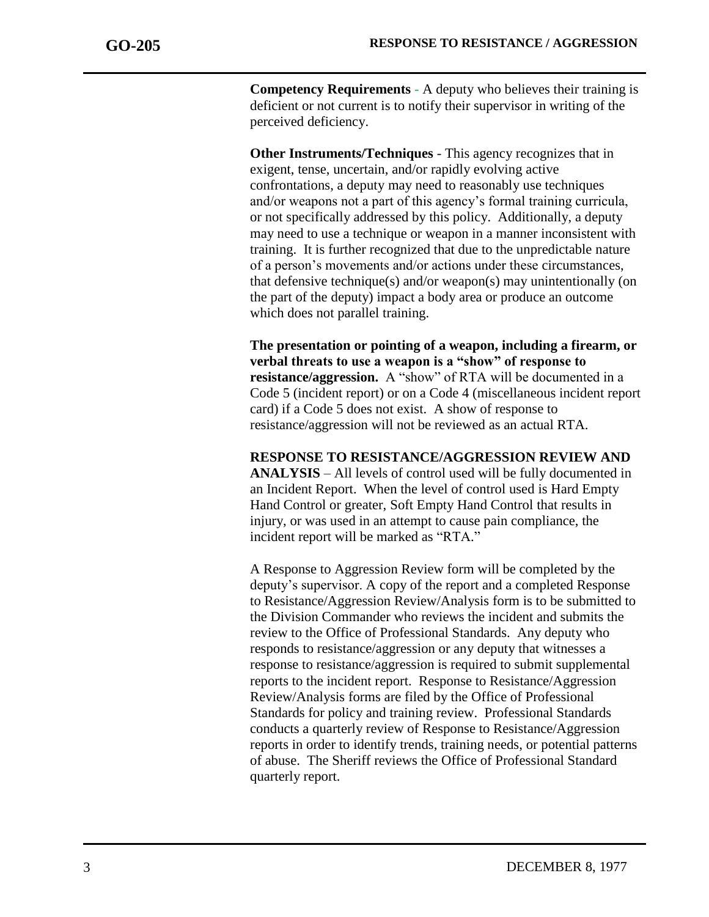**Competency Requirements** - A deputy who believes their training is deficient or not current is to notify their supervisor in writing of the perceived deficiency.

**Other Instruments/Techniques** - This agency recognizes that in exigent, tense, uncertain, and/or rapidly evolving active confrontations, a deputy may need to reasonably use techniques and/or weapons not a part of this agency's formal training curricula, or not specifically addressed by this policy. Additionally, a deputy may need to use a technique or weapon in a manner inconsistent with training. It is further recognized that due to the unpredictable nature of a person's movements and/or actions under these circumstances, that defensive technique(s) and/or weapon(s) may unintentionally (on the part of the deputy) impact a body area or produce an outcome which does not parallel training.

**The presentation or pointing of a weapon, including a firearm, or verbal threats to use a weapon is a "show" of response to resistance/aggression.** A "show" of RTA will be documented in a Code 5 (incident report) or on a Code 4 (miscellaneous incident report card) if a Code 5 does not exist. A show of response to resistance/aggression will not be reviewed as an actual RTA.

**RESPONSE TO RESISTANCE/AGGRESSION REVIEW AND ANALYSIS** – All levels of control used will be fully documented in an Incident Report. When the level of control used is Hard Empty Hand Control or greater, Soft Empty Hand Control that results in injury, or was used in an attempt to cause pain compliance, the incident report will be marked as "RTA."

A Response to Aggression Review form will be completed by the deputy's supervisor. A copy of the report and a completed Response to Resistance/Aggression Review/Analysis form is to be submitted to the Division Commander who reviews the incident and submits the review to the Office of Professional Standards. Any deputy who responds to resistance/aggression or any deputy that witnesses a response to resistance/aggression is required to submit supplemental reports to the incident report. Response to Resistance/Aggression Review/Analysis forms are filed by the Office of Professional Standards for policy and training review. Professional Standards conducts a quarterly review of Response to Resistance/Aggression reports in order to identify trends, training needs, or potential patterns of abuse. The Sheriff reviews the Office of Professional Standard quarterly report.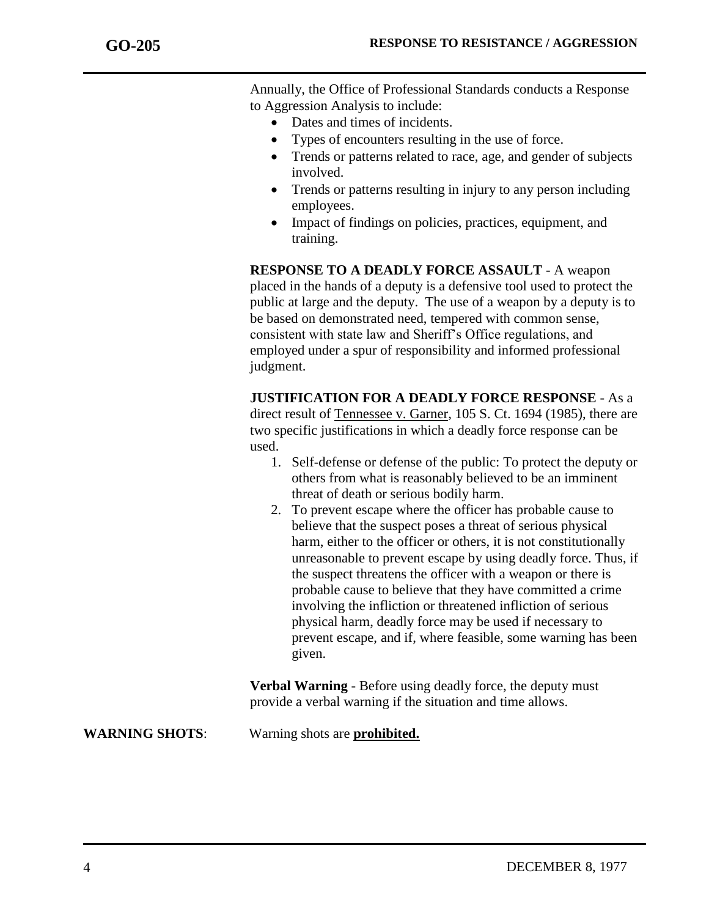Annually, the Office of Professional Standards conducts a Response to Aggression Analysis to include:

- Dates and times of incidents.
- Types of encounters resulting in the use of force.
- Trends or patterns related to race, age, and gender of subjects involved.
- Trends or patterns resulting in injury to any person including employees.
- Impact of findings on policies, practices, equipment, and training.

**RESPONSE TO A DEADLY FORCE ASSAULT** - A weapon placed in the hands of a deputy is a defensive tool used to protect the public at large and the deputy. The use of a weapon by a deputy is to be based on demonstrated need, tempered with common sense, consistent with state law and Sheriff's Office regulations, and employed under a spur of responsibility and informed professional judgment.

**JUSTIFICATION FOR A DEADLY FORCE RESPONSE** - As a direct result of Tennessee v. Garner, 105 S. Ct. 1694 (1985), there are two specific justifications in which a deadly force response can be used.

- 1. Self-defense or defense of the public: To protect the deputy or others from what is reasonably believed to be an imminent threat of death or serious bodily harm.
- 2. To prevent escape where the officer has probable cause to believe that the suspect poses a threat of serious physical harm, either to the officer or others, it is not constitutionally unreasonable to prevent escape by using deadly force. Thus, if the suspect threatens the officer with a weapon or there is probable cause to believe that they have committed a crime involving the infliction or threatened infliction of serious physical harm, deadly force may be used if necessary to prevent escape, and if, where feasible, some warning has been given.

**Verbal Warning** - Before using deadly force, the deputy must provide a verbal warning if the situation and time allows.

**WARNING SHOTS**: Warning shots are **prohibited.**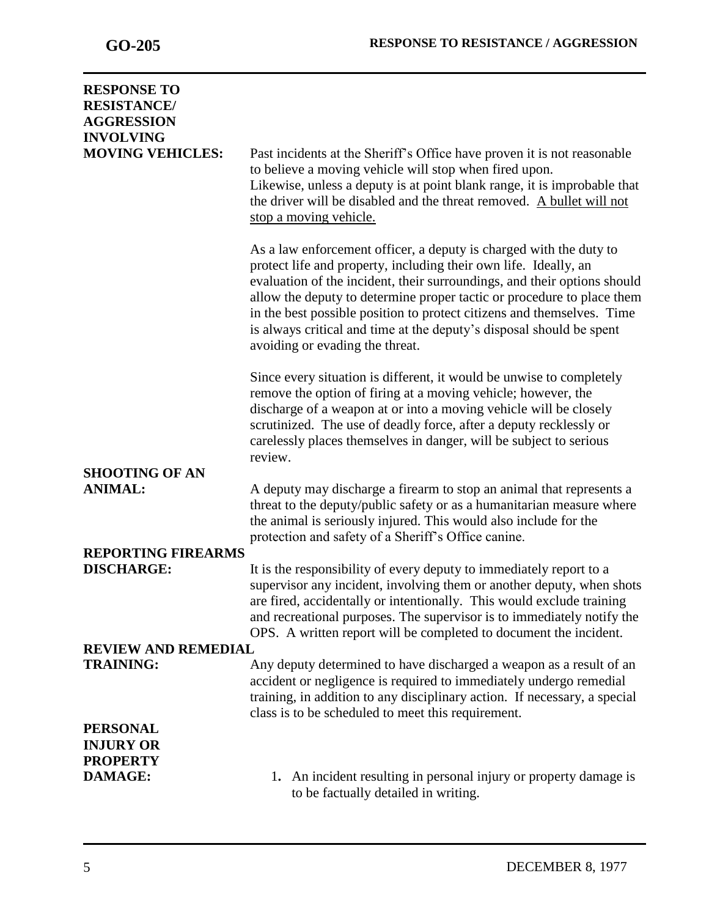| <b>RESPONSE TO</b><br><b>RESISTANCE/</b><br><b>AGGRESSION</b><br><b>INVOLVING</b> |                                                                                                                                                                                                                                                                                                                                                                                                                                                                                   |
|-----------------------------------------------------------------------------------|-----------------------------------------------------------------------------------------------------------------------------------------------------------------------------------------------------------------------------------------------------------------------------------------------------------------------------------------------------------------------------------------------------------------------------------------------------------------------------------|
| <b>MOVING VEHICLES:</b>                                                           | Past incidents at the Sheriff's Office have proven it is not reasonable<br>to believe a moving vehicle will stop when fired upon.<br>Likewise, unless a deputy is at point blank range, it is improbable that<br>the driver will be disabled and the threat removed. A bullet will not<br>stop a moving vehicle.                                                                                                                                                                  |
|                                                                                   | As a law enforcement officer, a deputy is charged with the duty to<br>protect life and property, including their own life. Ideally, an<br>evaluation of the incident, their surroundings, and their options should<br>allow the deputy to determine proper tactic or procedure to place them<br>in the best possible position to protect citizens and themselves. Time<br>is always critical and time at the deputy's disposal should be spent<br>avoiding or evading the threat. |
|                                                                                   | Since every situation is different, it would be unwise to completely<br>remove the option of firing at a moving vehicle; however, the<br>discharge of a weapon at or into a moving vehicle will be closely<br>scrutinized. The use of deadly force, after a deputy recklessly or<br>carelessly places themselves in danger, will be subject to serious<br>review.                                                                                                                 |
| <b>SHOOTING OF AN</b>                                                             |                                                                                                                                                                                                                                                                                                                                                                                                                                                                                   |
| <b>ANIMAL:</b>                                                                    | A deputy may discharge a firearm to stop an animal that represents a<br>threat to the deputy/public safety or as a humanitarian measure where<br>the animal is seriously injured. This would also include for the<br>protection and safety of a Sheriff's Office canine.                                                                                                                                                                                                          |
| <b>REPORTING FIREARMS</b>                                                         |                                                                                                                                                                                                                                                                                                                                                                                                                                                                                   |
| <b>DISCHARGE:</b>                                                                 | It is the responsibility of every deputy to immediately report to a<br>supervisor any incident, involving them or another deputy, when shots<br>are fired, accidentally or intentionally. This would exclude training<br>and recreational purposes. The supervisor is to immediately notify the<br>OPS. A written report will be completed to document the incident.                                                                                                              |
| <b>REVIEW AND REMEDIAL</b>                                                        |                                                                                                                                                                                                                                                                                                                                                                                                                                                                                   |
| <b>TRAINING:</b>                                                                  | Any deputy determined to have discharged a weapon as a result of an<br>accident or negligence is required to immediately undergo remedial<br>training, in addition to any disciplinary action. If necessary, a special<br>class is to be scheduled to meet this requirement.                                                                                                                                                                                                      |
| <b>PERSONAL</b><br><b>INJURY OR</b><br><b>PROPERTY</b>                            |                                                                                                                                                                                                                                                                                                                                                                                                                                                                                   |
| <b>DAMAGE:</b>                                                                    | 1. An incident resulting in personal injury or property damage is<br>to be factually detailed in writing.                                                                                                                                                                                                                                                                                                                                                                         |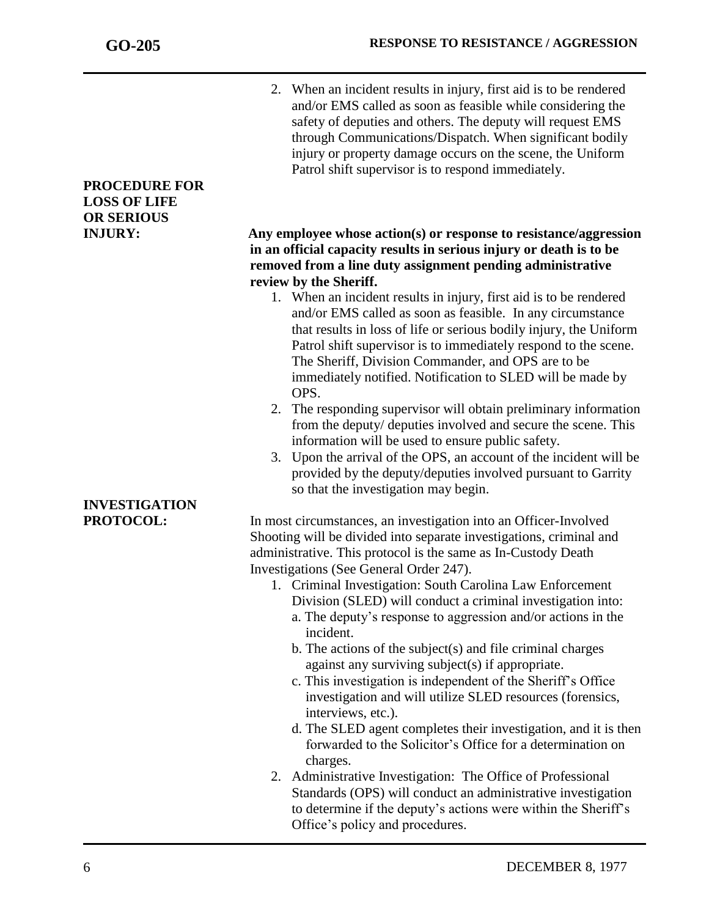2. When an incident results in injury, first aid is to be rendered and/or EMS called as soon as feasible while considering the safety of deputies and others. The deputy will request EMS through Communications/Dispatch. When significant bodily injury or property damage occurs on the scene, the Uniform Patrol shift supervisor is to respond immediately.

## **INJURY: Any employee whose action(s) or response to resistance/aggression in an official capacity results in serious injury or death is to be removed from a line duty assignment pending administrative review by the Sheriff.**

- 1. When an incident results in injury, first aid is to be rendered and/or EMS called as soon as feasible. In any circumstance that results in loss of life or serious bodily injury, the Uniform Patrol shift supervisor is to immediately respond to the scene. The Sheriff, Division Commander, and OPS are to be immediately notified. Notification to SLED will be made by OPS.
- 2. The responding supervisor will obtain preliminary information from the deputy/ deputies involved and secure the scene. This information will be used to ensure public safety.
- 3. Upon the arrival of the OPS, an account of the incident will be provided by the deputy/deputies involved pursuant to Garrity so that the investigation may begin.

**PROTOCOL:** In most circumstances, an investigation into an Officer-Involved Shooting will be divided into separate investigations, criminal and administrative. This protocol is the same as In-Custody Death Investigations (See General Order 247).

- 1. Criminal Investigation: South Carolina Law Enforcement Division (SLED) will conduct a criminal investigation into:
	- a. The deputy's response to aggression and/or actions in the incident.
	- b. The actions of the subject(s) and file criminal charges against any surviving subject(s) if appropriate.
	- c. This investigation is independent of the Sheriff's Office investigation and will utilize SLED resources (forensics, interviews, etc.).
	- d. The SLED agent completes their investigation, and it is then forwarded to the Solicitor's Office for a determination on charges.
- 2. Administrative Investigation: The Office of Professional Standards (OPS) will conduct an administrative investigation to determine if the deputy's actions were within the Sheriff's Office's policy and procedures.

## **PROCEDURE FOR LOSS OF LIFE OR SERIOUS**

# **INVESTIGATION**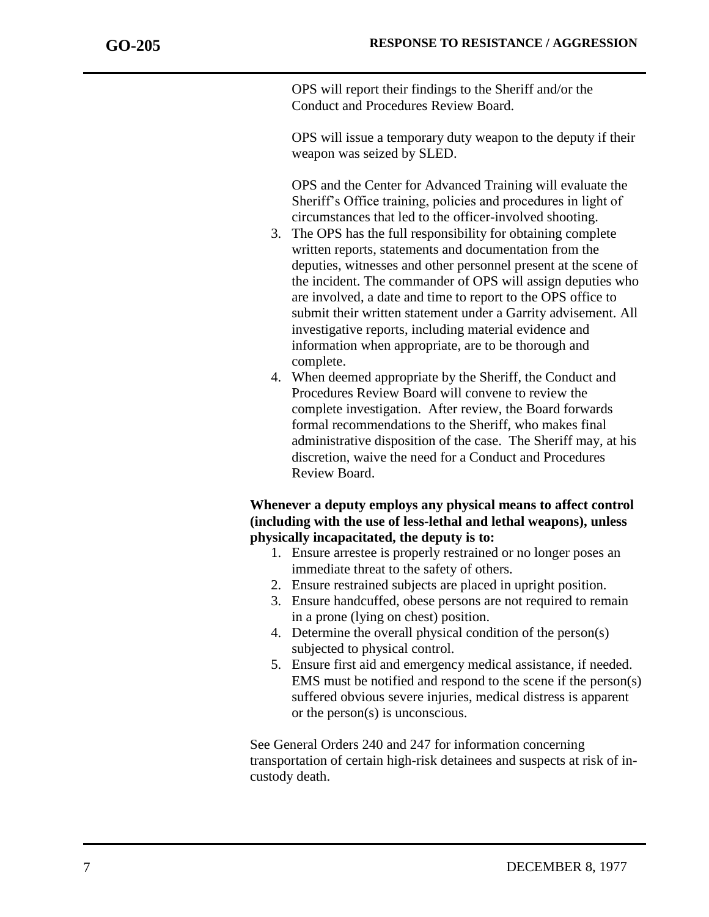OPS will report their findings to the Sheriff and/or the Conduct and Procedures Review Board.

OPS will issue a temporary duty weapon to the deputy if their weapon was seized by SLED.

OPS and the Center for Advanced Training will evaluate the Sheriff's Office training, policies and procedures in light of circumstances that led to the officer-involved shooting.

- 3. The OPS has the full responsibility for obtaining complete written reports, statements and documentation from the deputies, witnesses and other personnel present at the scene of the incident. The commander of OPS will assign deputies who are involved, a date and time to report to the OPS office to submit their written statement under a Garrity advisement. All investigative reports, including material evidence and information when appropriate, are to be thorough and complete.
- 4. When deemed appropriate by the Sheriff, the Conduct and Procedures Review Board will convene to review the complete investigation. After review, the Board forwards formal recommendations to the Sheriff, who makes final administrative disposition of the case. The Sheriff may, at his discretion, waive the need for a Conduct and Procedures Review Board.

## **Whenever a deputy employs any physical means to affect control (including with the use of less-lethal and lethal weapons), unless physically incapacitated, the deputy is to:**

- 1. Ensure arrestee is properly restrained or no longer poses an immediate threat to the safety of others.
- 2. Ensure restrained subjects are placed in upright position.
- 3. Ensure handcuffed, obese persons are not required to remain in a prone (lying on chest) position.
- 4. Determine the overall physical condition of the person(s) subjected to physical control.
- 5. Ensure first aid and emergency medical assistance, if needed. EMS must be notified and respond to the scene if the person(s) suffered obvious severe injuries, medical distress is apparent or the person(s) is unconscious.

See General Orders 240 and 247 for information concerning transportation of certain high-risk detainees and suspects at risk of incustody death.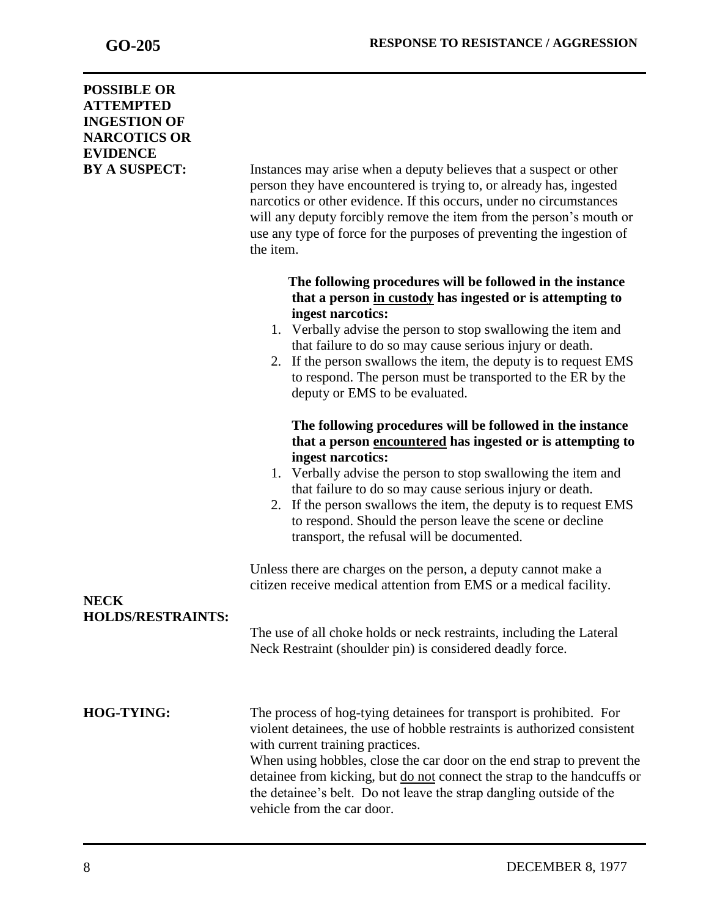| <b>POSSIBLE OR</b><br><b>ATTEMPTED</b><br><b>INGESTION OF</b><br><b>NARCOTICS OR</b><br><b>EVIDENCE</b><br><b>BY A SUSPECT:</b> | Instances may arise when a deputy believes that a suspect or other<br>person they have encountered is trying to, or already has, ingested<br>narcotics or other evidence. If this occurs, under no circumstances<br>will any deputy forcibly remove the item from the person's mouth or<br>use any type of force for the purposes of preventing the ingestion of<br>the item.                                                                              |
|---------------------------------------------------------------------------------------------------------------------------------|------------------------------------------------------------------------------------------------------------------------------------------------------------------------------------------------------------------------------------------------------------------------------------------------------------------------------------------------------------------------------------------------------------------------------------------------------------|
|                                                                                                                                 | The following procedures will be followed in the instance<br>that a person in custody has ingested or is attempting to<br>ingest narcotics:<br>1. Verbally advise the person to stop swallowing the item and<br>that failure to do so may cause serious injury or death.<br>2. If the person swallows the item, the deputy is to request EMS<br>to respond. The person must be transported to the ER by the<br>deputy or EMS to be evaluated.              |
|                                                                                                                                 | The following procedures will be followed in the instance<br>that a person encountered has ingested or is attempting to<br>ingest narcotics:<br>1. Verbally advise the person to stop swallowing the item and<br>that failure to do so may cause serious injury or death.<br>If the person swallows the item, the deputy is to request EMS<br>2.<br>to respond. Should the person leave the scene or decline<br>transport, the refusal will be documented. |
| <b>NECK</b>                                                                                                                     | Unless there are charges on the person, a deputy cannot make a<br>citizen receive medical attention from EMS or a medical facility.                                                                                                                                                                                                                                                                                                                        |
| <b>HOLDS/RESTRAINTS:</b>                                                                                                        | The use of all choke holds or neck restraints, including the Lateral<br>Neck Restraint (shoulder pin) is considered deadly force.                                                                                                                                                                                                                                                                                                                          |
| <b>HOG-TYING:</b>                                                                                                               | The process of hog-tying detainees for transport is prohibited. For<br>violent detainees, the use of hobble restraints is authorized consistent<br>with current training practices.<br>When using hobbles, close the car door on the end strap to prevent the<br>detainee from kicking, but do not connect the strap to the handcuffs or<br>the detainee's belt. Do not leave the strap dangling outside of the<br>vehicle from the car door.              |